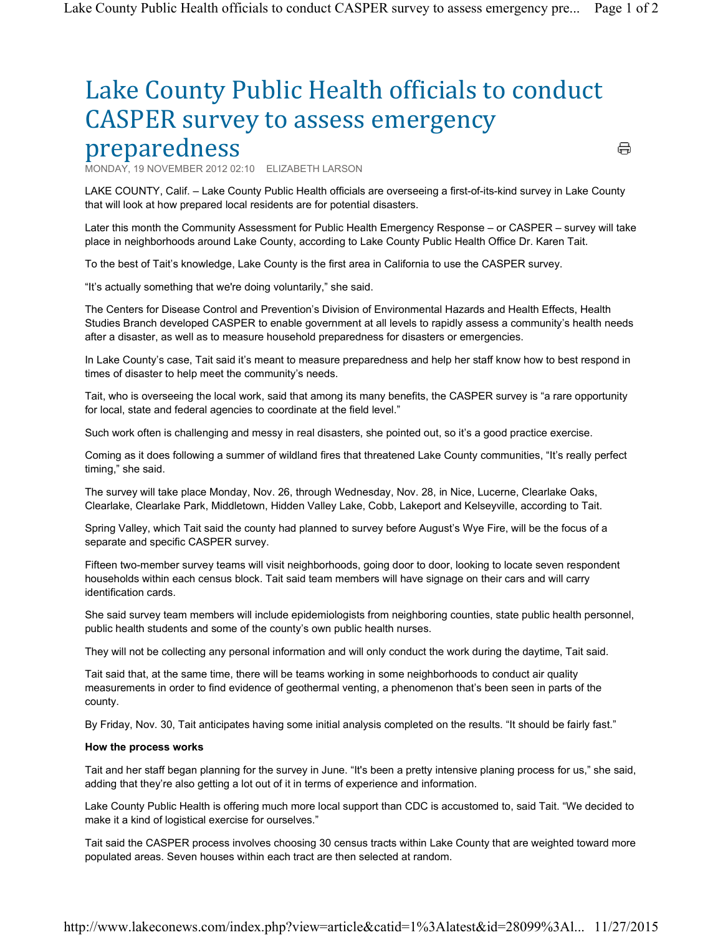## Lake County Public Health officials to conduct CASPER survey to assess emergency preparedness

MONDAY, 19 NOVEMBER 2012 02:10 ELIZABETH LARSON

 LAKE COUNTY, Calif. – Lake County Public Health officials are overseeing a first-of-its-kind survey in Lake County that will look at how prepared local residents are for potential disasters.

⇔

 Later this month the Community Assessment for Public Health Emergency Response – or CASPER – survey will take place in neighborhoods around Lake County, according to Lake County Public Health Office Dr. Karen Tait.

To the best of Tait's knowledge, Lake County is the first area in California to use the CASPER survey.

"It's actually something that we're doing voluntarily," she said.

 The Centers for Disease Control and Prevention's Division of Environmental Hazards and Health Effects, Health Studies Branch developed CASPER to enable government at all levels to rapidly assess a community's health needs after a disaster, as well as to measure household preparedness for disasters or emergencies.

 In Lake County's case, Tait said it's meant to measure preparedness and help her staff know how to best respond in times of disaster to help meet the community's needs.

 Tait, who is overseeing the local work, said that among its many benefits, the CASPER survey is "a rare opportunity for local, state and federal agencies to coordinate at the field level."

Such work often is challenging and messy in real disasters, she pointed out, so it's a good practice exercise.

 Coming as it does following a summer of wildland fires that threatened Lake County communities, "It's really perfect timing," she said.

 The survey will take place Monday, Nov. 26, through Wednesday, Nov. 28, in Nice, Lucerne, Clearlake Oaks, Clearlake, Clearlake Park, Middletown, Hidden Valley Lake, Cobb, Lakeport and Kelseyville, according to Tait.

 Spring Valley, which Tait said the county had planned to survey before August's Wye Fire, will be the focus of a separate and specific CASPER survey.

 Fifteen two-member survey teams will visit neighborhoods, going door to door, looking to locate seven respondent households within each census block. Tait said team members will have signage on their cars and will carry identification cards.

 She said survey team members will include epidemiologists from neighboring counties, state public health personnel, public health students and some of the county's own public health nurses.

They will not be collecting any personal information and will only conduct the work during the daytime, Tait said.

 Tait said that, at the same time, there will be teams working in some neighborhoods to conduct air quality measurements in order to find evidence of geothermal venting, a phenomenon that's been seen in parts of the county.

By Friday, Nov. 30, Tait anticipates having some initial analysis completed on the results. "It should be fairly fast."

## How the process works

 Tait and her staff began planning for the survey in June. "It's been a pretty intensive planing process for us," she said, adding that they're also getting a lot out of it in terms of experience and information.

 Lake County Public Health is offering much more local support than CDC is accustomed to, said Tait. "We decided to make it a kind of logistical exercise for ourselves."

 Tait said the CASPER process involves choosing 30 census tracts within Lake County that are weighted toward more populated areas. Seven houses within each tract are then selected at random.